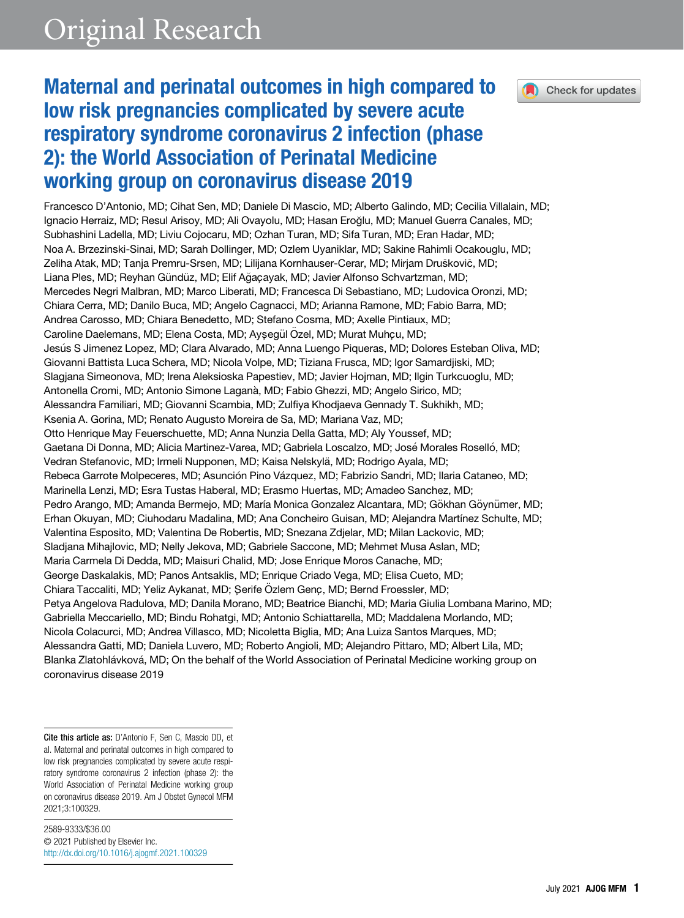

Check for updates

# Maternal and perinatal outcomes in high compared to low risk pregnancies complicated by severe acute respiratory syndrome coronavirus 2 infection (phase 2): the World Association of Perinatal Medicine working group on coronavirus disease 2019

Francesco D'Antonio, MD; Cihat Sen, MD; Daniele Di Mascio, MD; Alberto Galindo, MD; Cecilia Villalain, MD; Ignacio Herraiz, MD; Resul Arisoy, MD; Ali Ovayolu, MD; Hasan Eroglu, MD; Manuel Guerra Canales, MD; Subhashini Ladella, MD; Liviu Cojocaru, MD; Ozhan Turan, MD; Sifa Turan, MD; Eran Hadar, MD; Noa A. Brzezinski-Sinai, MD; Sarah Dollinger, MD; Ozlem Uyaniklar, MD; Sakine Rahimli Ocakouglu, MD; Zeliha Atak, MD; Tanja Premru-Srsen, MD; Lilijana Kornhauser-Cerar, MD; Mirjam Druskovic, MD; Liana Ples, MD; Reyhan Gündüz, MD; Elif Ağaçayak, MD; Javier Alfonso Schvartzman, MD; Mercedes Negri Malbran, MD; Marco Liberati, MD; Francesca Di Sebastiano, MD; Ludovica Oronzi, MD; Chiara Cerra, MD; Danilo Buca, MD; Angelo Cagnacci, MD; Arianna Ramone, MD; Fabio Barra, MD; Andrea Carosso, MD; Chiara Benedetto, MD; Stefano Cosma, MD; Axelle Pintiaux, MD; Caroline Daelemans, MD; Elena Costa, MD; Aysegül Özel, MD; Murat Muhçu, MD; Jesus S Jimenez Lopez, MD; Clara Alvarado, MD; Anna Luengo Piqueras, MD; Dolores Esteban Oliva, MD; Giovanni Battista Luca Schera, MD; Nicola Volpe, MD; Tiziana Frusca, MD; Igor Samardjiski, MD; Slagjana Simeonova, MD; Irena Aleksioska Papestiev, MD; Javier Hojman, MD; Ilgin Turkcuoglu, MD; Antonella Cromi, MD; Antonio Simone Lagana, MD; Fabio Ghezzi, MD; Angelo Sirico, MD; Alessandra Familiari, MD; Giovanni Scambia, MD; Zulfiya Khodjaeva Gennady T. Sukhikh, MD; Ksenia A. Gorina, MD; Renato Augusto Moreira de Sa, MD; Mariana Vaz, MD; Otto Henrique May Feuerschuette, MD; Anna Nunzia Della Gatta, MD; Aly Youssef, MD; Gaetana Di Donna, MD; Alicia Martinez-Varea, MD; Gabriela Loscalzo, MD; José Morales Roselló, MD; Vedran Stefanovic, MD; Irmeli Nupponen, MD; Kaisa Nelskyla, MD; Rodrigo Ayala, MD; € Rebeca Garrote Molpeceres, MD; Asunción Pino Vázquez, MD; Fabrizio Sandri, MD; Ilaria Cataneo, MD; Marinella Lenzi, MD; Esra Tustas Haberal, MD; Erasmo Huertas, MD; Amadeo Sanchez, MD; Pedro Arango, MD; Amanda Bermejo, MD; María Monica Gonzalez Alcantara, MD; Gökhan Göynümer, MD; Erhan Okuyan, MD; Ciuhodaru Madalina, MD; Ana Concheiro Guisan, MD; Alejandra Martínez Schulte, MD; Valentina Esposito, MD; Valentina De Robertis, MD; Snezana Zdjelar, MD; Milan Lackovic, MD; Sladjana Mihajlovic, MD; Nelly Jekova, MD; Gabriele Saccone, MD; Mehmet Musa Aslan, MD; Maria Carmela Di Dedda, MD; Maisuri Chalid, MD; Jose Enrique Moros Canache, MD; George Daskalakis, MD; Panos Antsaklis, MD; Enrique Criado Vega, MD; Elisa Cueto, MD; Chiara Taccaliti, MD; Yeliz Aykanat, MD; Şerife Özlem Genç, MD; Bernd Froessler, MD; Petya Angelova Radulova, MD; Danila Morano, MD; Beatrice Bianchi, MD; Maria Giulia Lombana Marino, MD; Gabriella Meccariello, MD; Bindu Rohatgi, MD; Antonio Schiattarella, MD; Maddalena Morlando, MD; Nicola Colacurci, MD; Andrea Villasco, MD; Nicoletta Biglia, MD; Ana Luiza Santos Marques, MD; Alessandra Gatti, MD; Daniela Luvero, MD; Roberto Angioli, MD; Alejandro Pittaro, MD; Albert Lila, MD; Blanka Zlatohlávková, MD; On the behalf of the World Association of Perinatal Medicine working group on coronavirus disease 2019

Cite this article as: <sup>D</sup>'Antonio F, Sen C, Mascio DD, et al. Maternal and perinatal outcomes in high compared to low risk pregnancies complicated by severe acute respiratory syndrome coronavirus 2 infection (phase 2): the World Association of Perinatal Medicine working group on coronavirus disease 2019. Am J Obstet Gynecol MFM 2021;3:100329.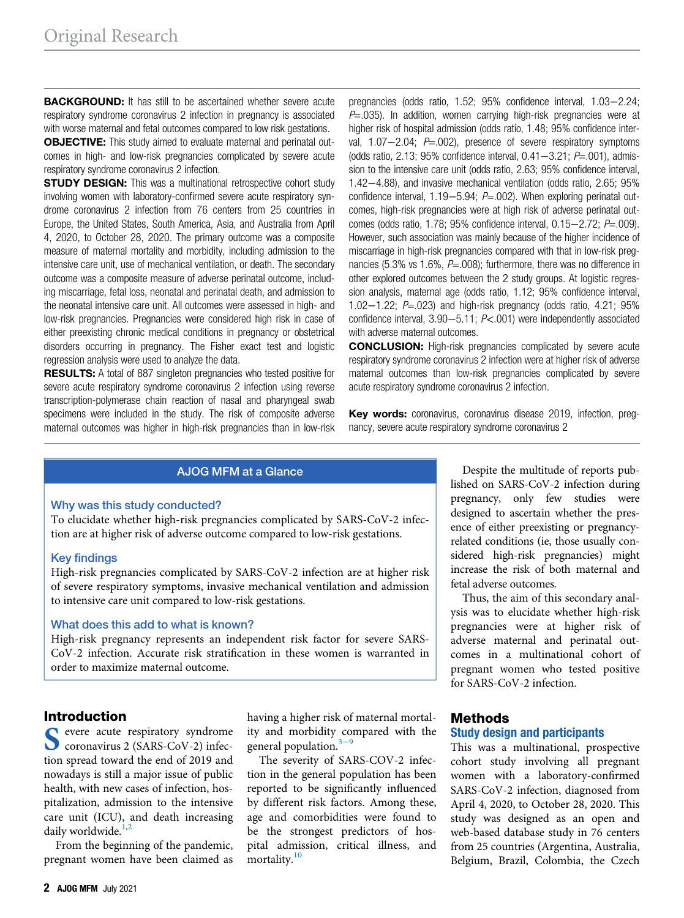**BACKGROUND:** It has still to be ascertained whether severe acute respiratory syndrome coronavirus 2 infection in pregnancy is associated with worse maternal and fetal outcomes compared to low risk gestations.

**OBJECTIVE:** This study aimed to evaluate maternal and perinatal outcomes in high- and low-risk pregnancies complicated by severe acute respiratory syndrome coronavirus 2 infection.

**STUDY DESIGN:** This was a multinational retrospective cohort study involving women with laboratory-confirmed severe acute respiratory syndrome coronavirus 2 infection from 76 centers from 25 countries in Europe, the United States, South America, Asia, and Australia from April 4, 2020, to October 28, 2020. The primary outcome was a composite measure of maternal mortality and morbidity, including admission to the intensive care unit, use of mechanical ventilation, or death. The secondary outcome was a composite measure of adverse perinatal outcome, including miscarriage, fetal loss, neonatal and perinatal death, and admission to the neonatal intensive care unit. All outcomes were assessed in high- and low-risk pregnancies. Pregnancies were considered high risk in case of either preexisting chronic medical conditions in pregnancy or obstetrical disorders occurring in pregnancy. The Fisher exact test and logistic regression analysis were used to analyze the data.

**RESULTS:** A total of 887 singleton pregnancies who tested positive for severe acute respiratory syndrome coronavirus 2 infection using reverse transcription-polymerase chain reaction of nasal and pharyngeal swab specimens were included in the study. The risk of composite adverse maternal outcomes was higher in high-risk pregnancies than in low-risk pregnancies (odds ratio, 1.52; 95% confidence interval, 1.03−2.24;  $P=0.035$ ). In addition, women carrying high-risk pregnancies were at higher risk of hospital admission (odds ratio, 1.48; 95% confidence interval, 1.07−2.04; P=.002), presence of severe respiratory symptoms (odds ratio, 2.13; 95% confidence interval, 0.41−3.21; P=.001), admission to the intensive care unit (odds ratio, 2.63; 95% confidence interval, 1.42−4.88), and invasive mechanical ventilation (odds ratio, 2.65; 95% confidence interval, 1.19−5.94; P=.002). When exploring perinatal outcomes, high-risk pregnancies were at high risk of adverse perinatal outcomes (odds ratio, 1.78; 95% confidence interval, 0.15−2.72; P=.009). However, such association was mainly because of the higher incidence of miscarriage in high-risk pregnancies compared with that in low-risk pregnancies (5.3% vs 1.6%,  $P = .008$ ); furthermore, there was no difference in other explored outcomes between the 2 study groups. At logistic regression analysis, maternal age (odds ratio, 1.12; 95% confidence interval, 1.02−1.22; P=.023) and high-risk pregnancy (odds ratio, 4.21; 95% confidence interval, 3.90−5.11; P<.001) were independently associated with adverse maternal outcomes.

**CONCLUSION:** High-risk pregnancies complicated by severe acute respiratory syndrome coronavirus 2 infection were at higher risk of adverse maternal outcomes than low-risk pregnancies complicated by severe acute respiratory syndrome coronavirus 2 infection.

Key words: coronavirus, coronavirus disease 2019, infection, pregnancy, severe acute respiratory syndrome coronavirus 2

# AJOG MFM at a Glance

# Why was this study conducted?

To elucidate whether high-risk pregnancies complicated by SARS-CoV-2 infection are at higher risk of adverse outcome compared to low-risk gestations.

# Key findings

High-risk pregnancies complicated by SARS-CoV-2 infection are at higher risk of severe respiratory symptoms, invasive mechanical ventilation and admission to intensive care unit compared to low-risk gestations.

#### What does this add to what is known?

High-risk pregnancy represents an independent risk factor for severe SARS-CoV-2 infection. Accurate risk stratification in these women is warranted in order to maximize maternal outcome.

# Introduction

S evere acute respiratory syndrome tion spread toward the end of 2019 and nowadays is still a major issue of public health, with new cases of infection, hospitalization, admission to the intensive care unit (ICU), and death increasing daily worldwide. $1,2$ 

From the beginning of the pandemic, pregnant women have been claimed as having a higher risk of maternal mortality and morbidity compared with the general population. $3-9$ 

The severity of SARS-COV-2 infection in the general population has been reported to be significantly influenced by different risk factors. Among these, age and comorbidities were found to be the strongest predictors of hospital admission, critical illness, and mortality.<sup>10</sup>

Despite the multitude of reports published on SARS-CoV-2 infection during pregnancy, only few studies were designed to ascertain whether the presence of either preexisting or pregnancyrelated conditions (ie, those usually considered high-risk pregnancies) might increase the risk of both maternal and fetal adverse outcomes.

Thus, the aim of this secondary analysis was to elucidate whether high-risk pregnancies were at higher risk of adverse maternal and perinatal outcomes in a multinational cohort of pregnant women who tested positive for SARS-CoV-2 infection.

## Methods Study design and participants

This was a multinational, prospective cohort study involving all pregnant women with a laboratory-confirmed SARS-CoV-2 infection, diagnosed from April 4, 2020, to October 28, 2020. This study was designed as an open and web-based database study in 76 centers from 25 countries (Argentina, Australia, Belgium, Brazil, Colombia, the Czech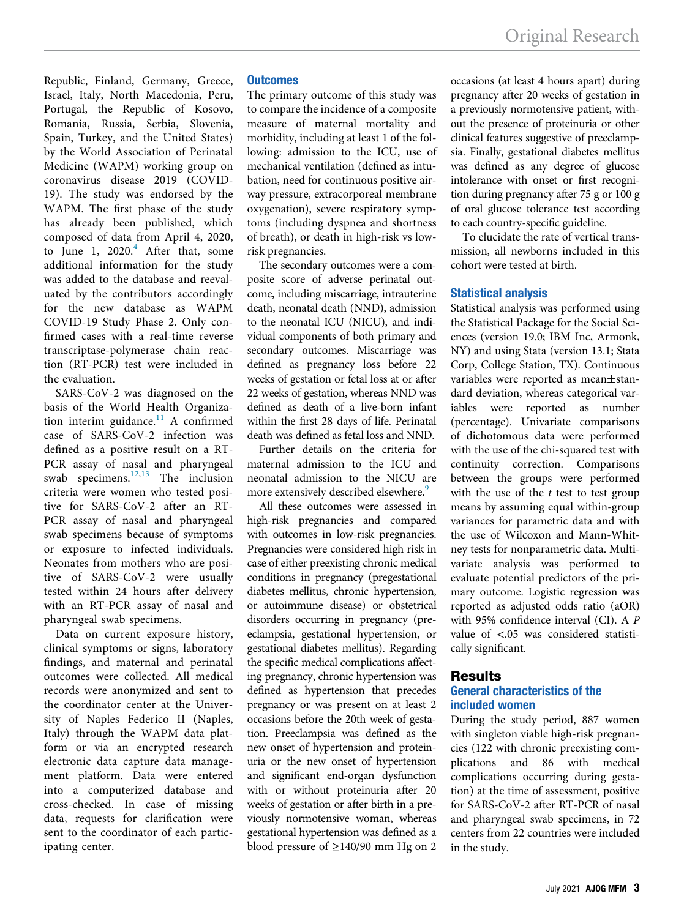Republic, Finland, Germany, Greece, Israel, Italy, North Macedonia, Peru, Portugal, the Republic of Kosovo, Romania, Russia, Serbia, Slovenia, Spain, Turkey, and the United States) by the World Association of Perinatal Medicine (WAPM) working group on coronavirus disease 2019 (COVID-19). The study was endorsed by the WAPM. The first phase of the study has already been published, which composed of data from April 4, 2020, to June 1,  $2020.<sup>4</sup>$  After that, some additional information for the study was added to the database and reevaluated by the contributors accordingly for the new database as WAPM COVID-19 Study Phase 2. Only confirmed cases with a real-time reverse transcriptase-polymerase chain reaction (RT-PCR) test were included in the evaluation.

SARS-CoV-2 was diagnosed on the basis of the World Health Organization interim guidance. $11$  A confirmed case of SARS-CoV-2 infection was defined as a positive result on a RT-PCR assay of nasal and pharyngeal swab specimens.<sup>12,13</sup> The inclusion criteria were women who tested positive for SARS-CoV-2 after an RT-PCR assay of nasal and pharyngeal swab specimens because of symptoms or exposure to infected individuals. Neonates from mothers who are positive of SARS-CoV-2 were usually tested within 24 hours after delivery with an RT-PCR assay of nasal and pharyngeal swab specimens.

Data on current exposure history, clinical symptoms or signs, laboratory findings, and maternal and perinatal outcomes were collected. All medical records were anonymized and sent to the coordinator center at the University of Naples Federico II (Naples, Italy) through the WAPM data platform or via an encrypted research electronic data capture data management platform. Data were entered into a computerized database and cross-checked. In case of missing data, requests for clarification were sent to the coordinator of each participating center.

## **Outcomes**

The primary outcome of this study was to compare the incidence of a composite measure of maternal mortality and morbidity, including at least 1 of the following: admission to the ICU, use of mechanical ventilation (defined as intubation, need for continuous positive airway pressure, extracorporeal membrane oxygenation), severe respiratory symptoms (including dyspnea and shortness of breath), or death in high-risk vs lowrisk pregnancies.

The secondary outcomes were a composite score of adverse perinatal outcome, including miscarriage, intrauterine death, neonatal death (NND), admission to the neonatal ICU (NICU), and individual components of both primary and secondary outcomes. Miscarriage was defined as pregnancy loss before 22 weeks of gestation or fetal loss at or after 22 weeks of gestation, whereas NND was defined as death of a live-born infant within the first 28 days of life. Perinatal death was defined as fetal loss and NND.

Further details on the criteria for maternal admission to the ICU and neonatal admission to the NICU are more extensively described elsewhere.<sup>9</sup>

All these outcomes were assessed in high-risk pregnancies and compared with outcomes in low-risk pregnancies. Pregnancies were considered high risk in case of either preexisting chronic medical conditions in pregnancy (pregestational diabetes mellitus, chronic hypertension, or autoimmune disease) or obstetrical disorders occurring in pregnancy (preeclampsia, gestational hypertension, or gestational diabetes mellitus). Regarding the specific medical complications affecting pregnancy, chronic hypertension was defined as hypertension that precedes pregnancy or was present on at least 2 occasions before the 20th week of gestation. Preeclampsia was defined as the new onset of hypertension and proteinuria or the new onset of hypertension and significant end-organ dysfunction with or without proteinuria after 20 weeks of gestation or after birth in a previously normotensive woman, whereas gestational hypertension was defined as a blood pressure of ≥140/90 mm Hg on 2

occasions (at least 4 hours apart) during pregnancy after 20 weeks of gestation in a previously normotensive patient, without the presence of proteinuria or other clinical features suggestive of preeclampsia. Finally, gestational diabetes mellitus was defined as any degree of glucose intolerance with onset or first recognition during pregnancy after 75 g or 100 g of oral glucose tolerance test according to each country-specific guideline.

To elucidate the rate of vertical transmission, all newborns included in this cohort were tested at birth.

#### Statistical analysis

Statistical analysis was performed using the Statistical Package for the Social Sciences (version 19.0; IBM Inc, Armonk, NY) and using Stata (version 13.1; Stata Corp, College Station, TX). Continuous variables were reported as mean $\pm$ standard deviation, whereas categorical variables were reported as number (percentage). Univariate comparisons of dichotomous data were performed with the use of the chi-squared test with continuity correction. Comparisons between the groups were performed with the use of the  $t$  test to test group means by assuming equal within-group variances for parametric data and with the use of Wilcoxon and Mann-Whitney tests for nonparametric data. Multivariate analysis was performed to evaluate potential predictors of the primary outcome. Logistic regression was reported as adjusted odds ratio (aOR) with 95% confidence interval (CI). A P value of <.05 was considered statistically significant.

#### Results

# General characteristics of the included women

During the study period, 887 women with singleton viable high-risk pregnancies (122 with chronic preexisting complications and 86 with medical complications occurring during gestation) at the time of assessment, positive for SARS-CoV-2 after RT-PCR of nasal and pharyngeal swab specimens, in 72 centers from 22 countries were included in the study.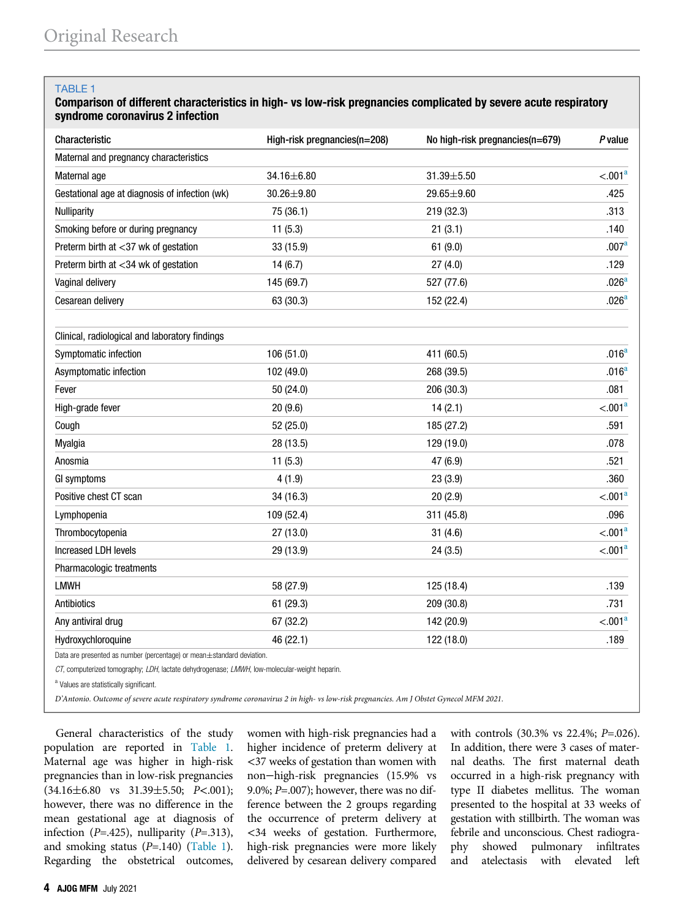## TABLE 1

# Comparison of different characteristics in high- vs low-risk pregnancies complicated by severe acute respiratory syndrome coronavirus 2 infection

| Characteristic                                                        | High-risk pregnancies(n=208) | No high-risk pregnancies(n=679) | P value             |
|-----------------------------------------------------------------------|------------------------------|---------------------------------|---------------------|
| Maternal and pregnancy characteristics                                |                              |                                 |                     |
| Maternal age                                                          | 34.16±6.80                   | 31.39±5.50                      | < .001 <sup>a</sup> |
| Gestational age at diagnosis of infection (wk)                        | 30.26±9.80                   | 29.65±9.60                      | .425                |
| <b>Nulliparity</b>                                                    | 75 (36.1)                    | 219 (32.3)                      | .313                |
| Smoking before or during pregnancy                                    | 11(5.3)                      | 21(3.1)                         | .140                |
| Preterm birth at <37 wk of gestation                                  | 33 (15.9)                    | 61(9.0)                         | .007 <sup>a</sup>   |
| Preterm birth at <34 wk of gestation                                  | 14(6.7)                      | 27(4.0)                         | .129                |
| Vaginal delivery                                                      | 145 (69.7)                   | 527 (77.6)                      | .026 <sup>a</sup>   |
| Cesarean delivery                                                     | 63 (30.3)                    | 152 (22.4)                      | .026 <sup>a</sup>   |
| Clinical, radiological and laboratory findings                        |                              |                                 |                     |
| Symptomatic infection                                                 | 106 (51.0)                   | 411 (60.5)                      | .016 <sup>a</sup>   |
| Asymptomatic infection                                                | 102 (49.0)                   | 268 (39.5)                      | .016 <sup>a</sup>   |
| Fever                                                                 | 50 (24.0)                    | 206 (30.3)                      | .081                |
| High-grade fever                                                      | 20(9.6)                      | 14(2.1)                         | < .001 <sup>a</sup> |
| Cough                                                                 | 52 (25.0)                    | 185 (27.2)                      | .591                |
| Myalgia                                                               | 28 (13.5)                    | 129 (19.0)                      | .078                |
| Anosmia                                                               | 11(5.3)                      | 47 (6.9)                        | .521                |
| GI symptoms                                                           | 4(1.9)                       | 23(3.9)                         | .360                |
| Positive chest CT scan                                                | 34 (16.3)                    | 20(2.9)                         | < .001 <sup>a</sup> |
| Lymphopenia                                                           | 109 (52.4)                   | 311 (45.8)                      | .096                |
| Thrombocytopenia                                                      | 27 (13.0)                    | 31(4.6)                         | < .001 <sup>a</sup> |
| Increased LDH levels                                                  | 29 (13.9)                    | 24(3.5)                         | < .001 <sup>a</sup> |
| Pharmacologic treatments                                              |                              |                                 |                     |
| <b>LMWH</b>                                                           | 58 (27.9)                    | 125 (18.4)                      | .139                |
| Antibiotics                                                           | 61 (29.3)                    | 209 (30.8)                      | .731                |
| Any antiviral drug                                                    | 67 (32.2)                    | 142 (20.9)                      | < .001 <sup>a</sup> |
| Hydroxychloroquine                                                    | 46 (22.1)                    | 122 (18.0)                      | .189                |
| Data are presented as number (percentage) or mean±standard deviation. |                              |                                 |                     |

CT, computerized tomography; LDH, lactate dehydrogenase; LMWH, low-molecular-weight heparin.

<sup>a</sup> Values are statistically significant.

D'Antonio. Outcome of severe acute respiratory syndrome coronavirus 2 in high- vs low-risk pregnancies. Am J Obstet Gynecol MFM 2021.

General characteristics of the study population are reported in Table 1. Maternal age was higher in high-risk pregnancies than in low-risk pregnancies  $(34.16±6.80 \text{ vs } 31.39±5.50; P<.001);$ however, there was no difference in the mean gestational age at diagnosis of infection ( $P = .425$ ), nulliparity ( $P = .313$ ), and smoking status  $(P=.140)$  (Table 1). Regarding the obstetrical outcomes, women with high-risk pregnancies had a higher incidence of preterm delivery at <37 weeks of gestation than women with non−high-risk pregnancies (15.9% vs 9.0%;  $P=.007$ ); however, there was no difference between the 2 groups regarding the occurrence of preterm delivery at <34 weeks of gestation. Furthermore, high-risk pregnancies were more likely delivered by cesarean delivery compared with controls (30.3% vs 22.4%; P=.026). In addition, there were 3 cases of maternal deaths. The first maternal death occurred in a high-risk pregnancy with type II diabetes mellitus. The woman presented to the hospital at 33 weeks of gestation with stillbirth. The woman was febrile and unconscious. Chest radiography showed pulmonary infiltrates and atelectasis with elevated left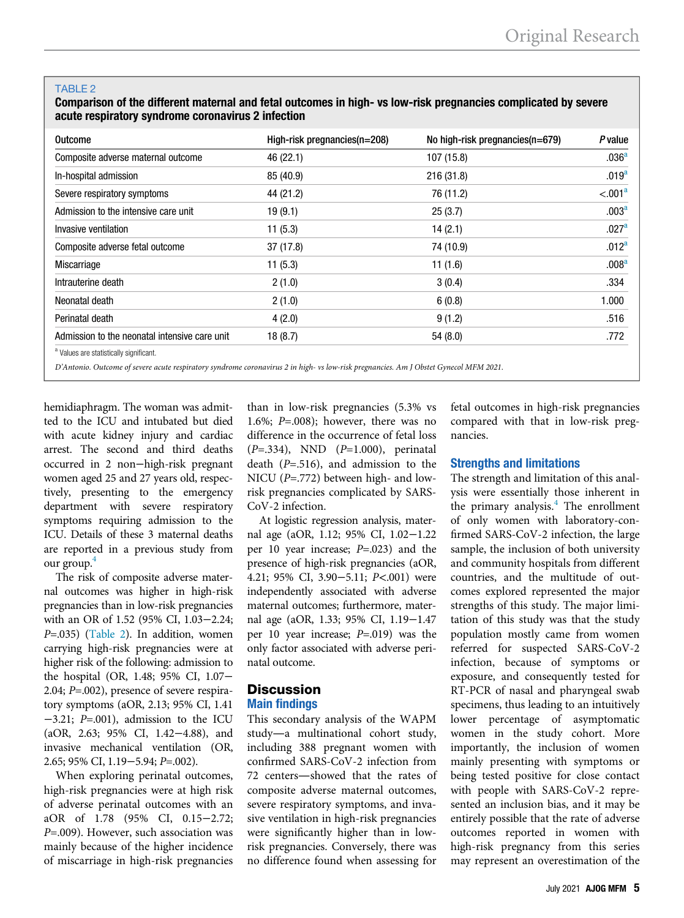#### TABLE 2

Comparison of the different maternal and fetal outcomes in high- vs low-risk pregnancies complicated by severe acute respiratory syndrome coronavirus 2 infection

| High-risk pregnancies(n=208) | No high-risk pregnancies(n=679) | <b>P</b> value      |
|------------------------------|---------------------------------|---------------------|
| 46 (22.1)                    | 107 (15.8)                      | .036 <sup>a</sup>   |
| 85 (40.9)                    | 216 (31.8)                      | .019 <sup>a</sup>   |
| 44 (21.2)                    | 76 (11.2)                       | < 0.01 <sup>a</sup> |
| 19(9.1)                      | 25(3.7)                         | .003 <sup>a</sup>   |
| 11(5.3)                      | 14(2.1)                         | .027 <sup>a</sup>   |
| 37(17.8)                     | 74 (10.9)                       | .012 <sup>a</sup>   |
| 11(5.3)                      | 11(1.6)                         | .008 <sup>a</sup>   |
| 2(1.0)                       | 3(0.4)                          | .334                |
| 2(1.0)                       | 6(0.8)                          | 1.000               |
| 4(2.0)                       | 9(1.2)                          | .516                |
| 18(8.7)                      | 54(8.0)                         | .772                |
|                              |                                 |                     |
|                              |                                 |                     |

D'Antonio. Outcome of severe acute respiratory syndrome coronavirus 2 in high- vs low-risk pregnancies. Am J Obstet Gynecol MFM 2021.

hemidiaphragm. The woman was admitted to the ICU and intubated but died with acute kidney injury and cardiac arrest. The second and third deaths occurred in 2 non−high-risk pregnant women aged 25 and 27 years old, respectively, presenting to the emergency department with severe respiratory symptoms requiring admission to the ICU. Details of these 3 maternal deaths are reported in a previous study from our group.<sup>4</sup>

The risk of composite adverse maternal outcomes was higher in high-risk pregnancies than in low-risk pregnancies with an OR of 1.52 (95% CI, 1.03−2.24;  $P=.035$ ) (Table 2). In addition, women carrying high-risk pregnancies were at higher risk of the following: admission to the hospital (OR, 1.48; 95% CI, 1.07− 2.04; P=.002), presence of severe respiratory symptoms (aOR, 2.13; 95% CI, 1.41 −3.21; P=.001), admission to the ICU (aOR, 2.63; 95% CI, 1.42−4.88), and invasive mechanical ventilation (OR, 2.65; 95% CI, 1.19−5.94; P=.002).

When exploring perinatal outcomes, high-risk pregnancies were at high risk of adverse perinatal outcomes with an aOR of 1.78 (95% CI, 0.15−2.72;  $P=.009$ ). However, such association was mainly because of the higher incidence of miscarriage in high-risk pregnancies

than in low-risk pregnancies (5.3% vs 1.6%;  $P=.008$ ; however, there was no difference in the occurrence of fetal loss  $(P=.334)$ , NND  $(P=1.000)$ , perinatal death  $(P=.516)$ , and admission to the NICU ( $P = .772$ ) between high- and lowrisk pregnancies complicated by SARS-CoV-2 infection.

At logistic regression analysis, maternal age (aOR, 1.12; 95% CI, 1.02−1.22 per 10 year increase; P=.023) and the presence of high-risk pregnancies (aOR, 4.21; 95% CI, 3.90−5.11; P<.001) were independently associated with adverse maternal outcomes; furthermore, maternal age (aOR, 1.33; 95% CI, 1.19−1.47 per 10 year increase; P=.019) was the only factor associated with adverse perinatal outcome.

# **Discussion** Main findings

This secondary analysis of the WAPM study—a multinational cohort study, including 388 pregnant women with confirmed SARS-CoV-2 infection from 72 centers—showed that the rates of composite adverse maternal outcomes, severe respiratory symptoms, and invasive ventilation in high-risk pregnancies were significantly higher than in lowrisk pregnancies. Conversely, there was no difference found when assessing for

fetal outcomes in high-risk pregnancies compared with that in low-risk pregnancies.

# Strengths and limitations

The strength and limitation of this analysis were essentially those inherent in the primary analysis.<sup>4</sup> The enrollment of only women with laboratory-confirmed SARS-CoV-2 infection, the large sample, the inclusion of both university and community hospitals from different countries, and the multitude of outcomes explored represented the major strengths of this study. The major limitation of this study was that the study population mostly came from women referred for suspected SARS-CoV-2 infection, because of symptoms or exposure, and consequently tested for RT-PCR of nasal and pharyngeal swab specimens, thus leading to an intuitively lower percentage of asymptomatic women in the study cohort. More importantly, the inclusion of women mainly presenting with symptoms or being tested positive for close contact with people with SARS-CoV-2 represented an inclusion bias, and it may be entirely possible that the rate of adverse outcomes reported in women with high-risk pregnancy from this series may represent an overestimation of the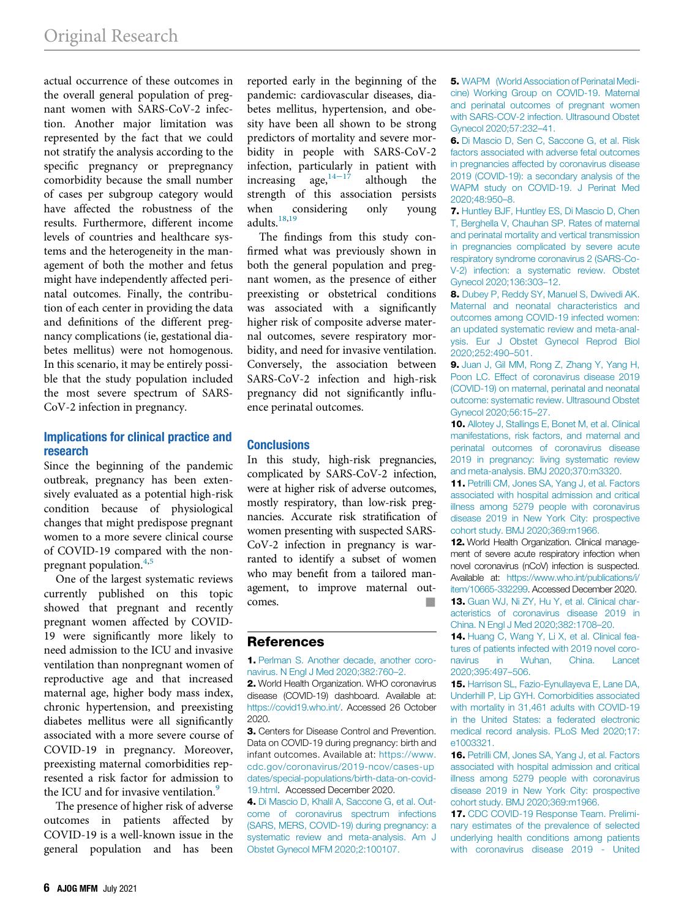actual occurrence of these outcomes in the overall general population of pregnant women with SARS-CoV-2 infection. Another major limitation was represented by the fact that we could not stratify the analysis according to the specific pregnancy or prepregnancy comorbidity because the small number of cases per subgroup category would have affected the robustness of the results. Furthermore, different income levels of countries and healthcare systems and the heterogeneity in the management of both the mother and fetus might have independently affected perinatal outcomes. Finally, the contribution of each center in providing the data and definitions of the different pregnancy complications (ie, gestational diabetes mellitus) were not homogenous. In this scenario, it may be entirely possible that the study population included the most severe spectrum of SARS-CoV-2 infection in pregnancy.

## Implications for clinical practice and research

Since the beginning of the pandemic outbreak, pregnancy has been extensively evaluated as a potential high-risk condition because of physiological changes that might predispose pregnant women to a more severe clinical course of COVID-19 compared with the nonpregnant population.4,5

One of the largest systematic reviews currently published on this topic showed that pregnant and recently pregnant women affected by COVID-19 were significantly more likely to need admission to the ICU and invasive ventilation than nonpregnant women of reproductive age and that increased maternal age, higher body mass index, chronic hypertension, and preexisting diabetes mellitus were all significantly associated with a more severe course of COVID-19 in pregnancy. Moreover, preexisting maternal comorbidities represented a risk factor for admission to the ICU and for invasive ventilation.<sup>9</sup>

The presence of higher risk of adverse outcomes in patients affected by COVID-19 is a well-known issue in the general population and has been

reported early in the beginning of the pandemic: cardiovascular diseases, diabetes mellitus, hypertension, and obesity have been all shown to be strong predictors of mortality and severe morbidity in people with SARS-CoV-2 infection, particularly in patient with increasing age, $14-17$  although the strength of this association persists when considering only young adults.<sup>18,19</sup>

The findings from this study confirmed what was previously shown in both the general population and pregnant women, as the presence of either preexisting or obstetrical conditions was associated with a significantly higher risk of composite adverse maternal outcomes, severe respiratory morbidity, and need for invasive ventilation. Conversely, the association between SARS-CoV-2 infection and high-risk pregnancy did not significantly influence perinatal outcomes.

# **Conclusions**

In this study, high-risk pregnancies, complicated by SARS-CoV-2 infection, were at higher risk of adverse outcomes, mostly respiratory, than low-risk pregnancies. Accurate risk stratification of women presenting with suspected SARS-CoV-2 infection in pregnancy is warranted to identify a subset of women who may benefit from a tailored management, to improve maternal outcomes.

# References

1. [Perlman S. Another decade, another coro](http://refhub.elsevier.com/S2589-9333(21)00024-0/sbref0001)[navirus. N Engl J Med 2020;382:760](http://refhub.elsevier.com/S2589-9333(21)00024-0/sbref0001)–2.

2. World Health Organization. WHO coronavirus disease (COVID-19) dashboard. Available at: [https://covid19.who.int/.](https://covid19.who.int/) Accessed 26 October 2020.

3. Centers for Disease Control and Prevention. Data on COVID-19 during pregnancy: birth and infant outcomes. Available at: [https://www.](https://www.cdc.gov/coronavirus/2019-ncov/cases-updates/special-populations/birth-data-on-covid-19.html) [cdc.gov/coronavirus/2019-ncov/cases-up](https://www.cdc.gov/coronavirus/2019-ncov/cases-updates/special-populations/birth-data-on-covid-19.html) [dates/special-populations/birth-data-on-covid-](https://www.cdc.gov/coronavirus/2019-ncov/cases-updates/special-populations/birth-data-on-covid-19.html)[19.html.](https://www.cdc.gov/coronavirus/2019-ncov/cases-updates/special-populations/birth-data-on-covid-19.html) Accessed December 2020.

4. [Di Mascio D, Khalil A, Saccone G, et al. Out](http://refhub.elsevier.com/S2589-9333(21)00024-0/sbref0004)[come of coronavirus spectrum infections](http://refhub.elsevier.com/S2589-9333(21)00024-0/sbref0004) [\(SARS, MERS, COVID-19\) during pregnancy: a](http://refhub.elsevier.com/S2589-9333(21)00024-0/sbref0004) [systematic review and meta-analysis. Am J](http://refhub.elsevier.com/S2589-9333(21)00024-0/sbref0004) [Obstet Gynecol MFM 2020;2:100107.](http://refhub.elsevier.com/S2589-9333(21)00024-0/sbref0004)

5. [WAPM \(World Association of Perinatal Medi](http://refhub.elsevier.com/S2589-9333(21)00024-0/sbref0005)[cine\) Working Group on COVID-19. Maternal](http://refhub.elsevier.com/S2589-9333(21)00024-0/sbref0005) [and perinatal outcomes of pregnant women](http://refhub.elsevier.com/S2589-9333(21)00024-0/sbref0005) [with SARS-COV-2 infection. Ultrasound Obstet](http://refhub.elsevier.com/S2589-9333(21)00024-0/sbref0005) [Gynecol 2020;57:232](http://refhub.elsevier.com/S2589-9333(21)00024-0/sbref0005)–41.

6. [Di Mascio D, Sen C, Saccone G, et al. Risk](http://refhub.elsevier.com/S2589-9333(21)00024-0/sbref0006) [factors associated with adverse fetal outcomes](http://refhub.elsevier.com/S2589-9333(21)00024-0/sbref0006) [in pregnancies affected by coronavirus disease](http://refhub.elsevier.com/S2589-9333(21)00024-0/sbref0006) [2019 \(COVID-19\): a secondary analysis of the](http://refhub.elsevier.com/S2589-9333(21)00024-0/sbref0006) [WAPM study on COVID-19. J Perinat Med](http://refhub.elsevier.com/S2589-9333(21)00024-0/sbref0006) [2020;48:950](http://refhub.elsevier.com/S2589-9333(21)00024-0/sbref0006)–8.

7. [Huntley BJF, Huntley ES, Di Mascio D, Chen](http://refhub.elsevier.com/S2589-9333(21)00024-0/sbref0007) [T, Berghella V, Chauhan SP. Rates of maternal](http://refhub.elsevier.com/S2589-9333(21)00024-0/sbref0007) [and perinatal mortality and vertical transmission](http://refhub.elsevier.com/S2589-9333(21)00024-0/sbref0007) [in pregnancies complicated by severe acute](http://refhub.elsevier.com/S2589-9333(21)00024-0/sbref0007) [respiratory syndrome coronavirus 2 \(SARS-Co-](http://refhub.elsevier.com/S2589-9333(21)00024-0/sbref0007)[V-2\) infection: a systematic review. Obstet](http://refhub.elsevier.com/S2589-9333(21)00024-0/sbref0007) [Gynecol 2020;136:303](http://refhub.elsevier.com/S2589-9333(21)00024-0/sbref0007)–12.

8. [Dubey P, Reddy SY, Manuel S, Dwivedi AK.](http://refhub.elsevier.com/S2589-9333(21)00024-0/sbref0008) [Maternal and neonatal characteristics and](http://refhub.elsevier.com/S2589-9333(21)00024-0/sbref0008) [outcomes among COVID-19 infected women:](http://refhub.elsevier.com/S2589-9333(21)00024-0/sbref0008) [an updated systematic review and meta-anal](http://refhub.elsevier.com/S2589-9333(21)00024-0/sbref0008)[ysis. Eur J Obstet Gynecol Reprod Biol](http://refhub.elsevier.com/S2589-9333(21)00024-0/sbref0008) [2020;252:490](http://refhub.elsevier.com/S2589-9333(21)00024-0/sbref0008)–501.

9. [Juan J, Gil MM, Rong Z, Zhang Y, Yang H,](http://refhub.elsevier.com/S2589-9333(21)00024-0/sbref0009) [Poon LC. Effect of coronavirus disease 2019](http://refhub.elsevier.com/S2589-9333(21)00024-0/sbref0009) [\(COVID-19\) on maternal, perinatal and neonatal](http://refhub.elsevier.com/S2589-9333(21)00024-0/sbref0009) [outcome: systematic review. Ultrasound Obstet](http://refhub.elsevier.com/S2589-9333(21)00024-0/sbref0009) [Gynecol 2020;56:15](http://refhub.elsevier.com/S2589-9333(21)00024-0/sbref0009)–27.

10. [Allotey J, Stallings E, Bonet M, et al. Clinical](http://refhub.elsevier.com/S2589-9333(21)00024-0/sbref0010) [manifestations, risk factors, and maternal and](http://refhub.elsevier.com/S2589-9333(21)00024-0/sbref0010) [perinatal outcomes of coronavirus disease](http://refhub.elsevier.com/S2589-9333(21)00024-0/sbref0010) [2019 in pregnancy: living systematic review](http://refhub.elsevier.com/S2589-9333(21)00024-0/sbref0010) [and meta-analysis. BMJ 2020;370:m3320.](http://refhub.elsevier.com/S2589-9333(21)00024-0/sbref0010)

11. [Petrilli CM, Jones SA, Yang J, et al. Factors](http://refhub.elsevier.com/S2589-9333(21)00024-0/sbref0011) [associated with hospital admission and critical](http://refhub.elsevier.com/S2589-9333(21)00024-0/sbref0011) [illness among 5279 people with coronavirus](http://refhub.elsevier.com/S2589-9333(21)00024-0/sbref0011) [disease 2019 in New York City: prospective](http://refhub.elsevier.com/S2589-9333(21)00024-0/sbref0011) [cohort study. BMJ 2020;369:m1966.](http://refhub.elsevier.com/S2589-9333(21)00024-0/sbref0011)

12. World Health Organization. Clinical management of severe acute respiratory infection when novel coronavirus (nCoV) infection is suspected. Available at: [https://www.who.int/publications/i/](https://www.who.int/publications/i/item/10665-332299) [item/10665-332299.](https://www.who.int/publications/i/item/10665-332299) Accessed December 2020.

13. [Guan WJ, Ni ZY, Hu Y, et al. Clinical char](http://refhub.elsevier.com/S2589-9333(21)00024-0/sbref0013)[acteristics of coronavirus disease 2019 in](http://refhub.elsevier.com/S2589-9333(21)00024-0/sbref0013) [China. N Engl J Med 2020;382:1708](http://refhub.elsevier.com/S2589-9333(21)00024-0/sbref0013)–20.

14. [Huang C, Wang Y, Li X, et al. Clinical fea](http://refhub.elsevier.com/S2589-9333(21)00024-0/sbref0014)[tures of patients infected with 2019 novel coro](http://refhub.elsevier.com/S2589-9333(21)00024-0/sbref0014)[navirus in Wuhan, China. Lancet](http://refhub.elsevier.com/S2589-9333(21)00024-0/sbref0014) [2020;395:497](http://refhub.elsevier.com/S2589-9333(21)00024-0/sbref0014)–506.

15. [Harrison SL, Fazio-Eynullayeva E, Lane DA,](http://refhub.elsevier.com/S2589-9333(21)00024-0/sbref0015) [Underhill P, Lip GYH. Comorbidities associated](http://refhub.elsevier.com/S2589-9333(21)00024-0/sbref0015) [with mortality in 31,461 adults with COVID-19](http://refhub.elsevier.com/S2589-9333(21)00024-0/sbref0015) [in the United States: a federated electronic](http://refhub.elsevier.com/S2589-9333(21)00024-0/sbref0015) [medical record analysis. PLoS Med 2020;17:](http://refhub.elsevier.com/S2589-9333(21)00024-0/sbref0015) [e1003321.](http://refhub.elsevier.com/S2589-9333(21)00024-0/sbref0015)

16. [Petrilli CM, Jones SA, Yang J, et al. Factors](http://refhub.elsevier.com/S2589-9333(21)00024-0/sbref0016) [associated with hospital admission and critical](http://refhub.elsevier.com/S2589-9333(21)00024-0/sbref0016) [illness among 5279 people with coronavirus](http://refhub.elsevier.com/S2589-9333(21)00024-0/sbref0016) [disease 2019 in New York City: prospective](http://refhub.elsevier.com/S2589-9333(21)00024-0/sbref0016) [cohort study. BMJ 2020;369:m1966.](http://refhub.elsevier.com/S2589-9333(21)00024-0/sbref0016)

17. [CDC COVID-19 Response Team. Prelimi](http://refhub.elsevier.com/S2589-9333(21)00024-0/sbref0017)[nary estimates of the prevalence of selected](http://refhub.elsevier.com/S2589-9333(21)00024-0/sbref0017) [underlying health conditions among patients](http://refhub.elsevier.com/S2589-9333(21)00024-0/sbref0017) [with coronavirus disease 2019 - United](http://refhub.elsevier.com/S2589-9333(21)00024-0/sbref0017)